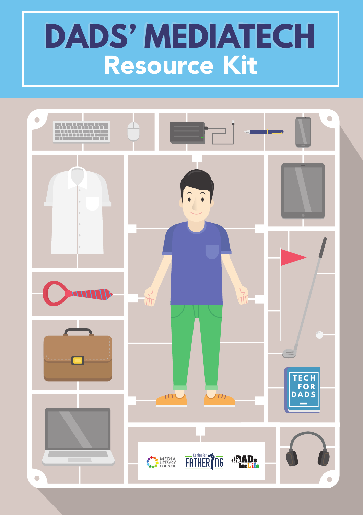# **DADS' MEDIATECH** Resource Kit

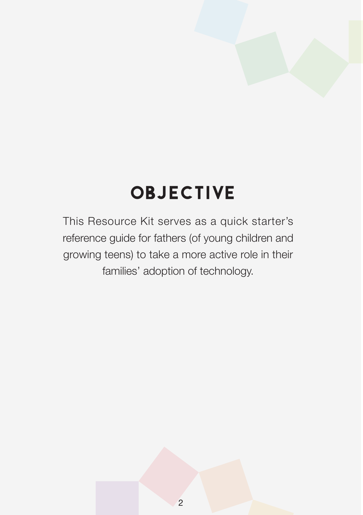## **OBJECTIVE**

This Resource Kit serves as a quick starter's reference guide for fathers (of young children and growing teens) to take a more active role in their families' adoption of technology.

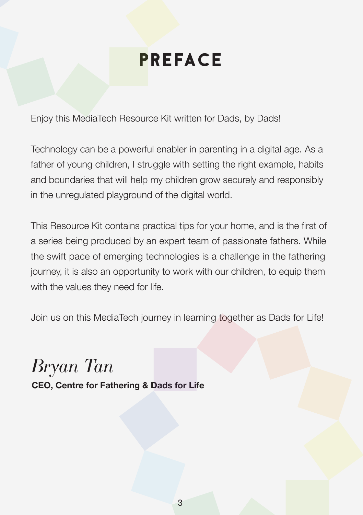### PREFACE

Enjoy this MediaTech Resource Kit written for Dads, by Dads!

Technology can be a powerful enabler in parenting in a digital age. As a father of young children, I struggle with setting the right example, habits and boundaries that will help my children grow securely and responsibly in the unregulated playground of the digital world.

This Resource Kit contains practical tips for your home, and is the first of a series being produced by an expert team of passionate fathers. While the swift pace of emerging technologies is a challenge in the fathering journey, it is also an opportunity to work with our children, to equip them with the values they need for life.

Join us on this MediaTech journey in learning together as Dads for Life!

*Bryan Tan* **CEO, Centre for Fathering & Dads for Life**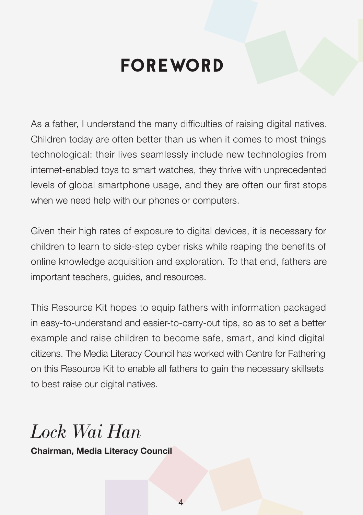### FOREWORD

As a father, I understand the many difficulties of raising digital natives. Children today are often better than us when it comes to most things technological: their lives seamlessly include new technologies from internet-enabled toys to smart watches, they thrive with unprecedented levels of global smartphone usage, and they are often our first stops when we need help with our phones or computers.

Given their high rates of exposure to digital devices, it is necessary for children to learn to side-step cyber risks while reaping the benefits of online knowledge acquisition and exploration. To that end, fathers are important teachers, guides, and resources.

This Resource Kit hopes to equip fathers with information packaged in easy-to-understand and easier-to-carry-out tips, so as to set a better example and raise children to become safe, smart, and kind digital citizens. The Media Literacy Council has worked with Centre for Fathering on this Resource Kit to enable all fathers to gain the necessary skillsets to best raise our digital natives.

### *Lock Wai Han*

**Chairman, Media Literacy Council**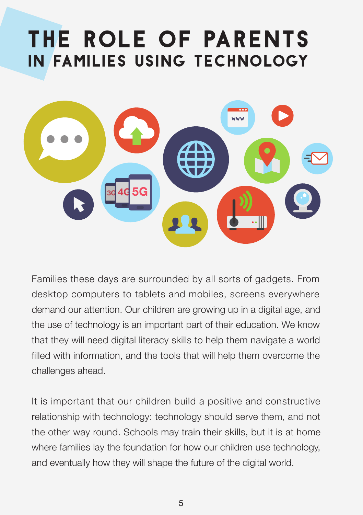# THE ROLE OF PARENTS IN FAMILIES USING TECHNOLOGY



Families these days are surrounded by all sorts of gadgets. From desktop computers to tablets and mobiles, screens everywhere demand our attention. Our children are growing up in a digital age, and the use of technology is an important part of their education. We know that they will need digital literacy skills to help them navigate a world filled with information, and the tools that will help them overcome the challenges ahead.

It is important that our children build a positive and constructive relationship with technology: technology should serve them, and not the other way round. Schools may train their skills, but it is at home where families lay the foundation for how our children use technology, and eventually how they will shape the future of the digital world.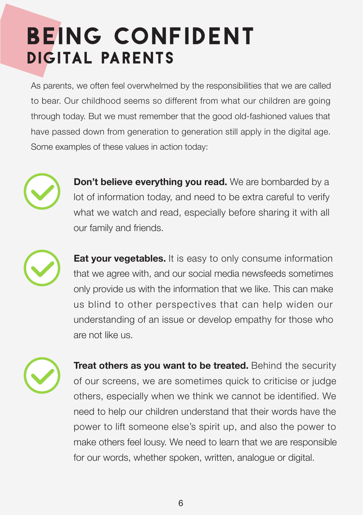# BEING CONFIDENT DIGITAL PARENTS

As parents, we often feel overwhelmed by the responsibilities that we are called to bear. Our childhood seems so different from what our children are going through today. But we must remember that the good old-fashioned values that have passed down from generation to generation still apply in the digital age. Some examples of these values in action today:



**Don't believe everything you read.** We are bombarded by a lot of information today, and need to be extra careful to verify what we watch and read, especially before sharing it with all our family and friends.



**Eat your vegetables.** It is easy to only consume information that we agree with, and our social media newsfeeds sometimes only provide us with the information that we like. This can make us blind to other perspectives that can help widen our understanding of an issue or develop empathy for those who are not like us.



**Treat others as you want to be treated.** Behind the security of our screens, we are sometimes quick to criticise or judge others, especially when we think we cannot be identified. We need to help our children understand that their words have the power to lift someone else's spirit up, and also the power to make others feel lousy. We need to learn that we are responsible for our words, whether spoken, written, analogue or digital.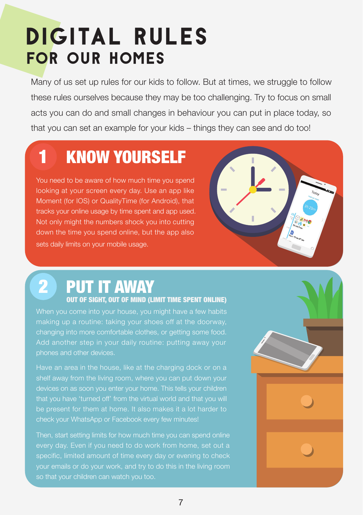# DIGITAL RULES FOR OUR HOMES

Many of us set up rules for our kids to follow. But at times, we struggle to follow these rules ourselves because they may be too challenging. Try to focus on small acts you can do and small changes in behaviour you can put in place today, so that you can set an example for your kids – things they can see and do too!

## 1 KNOW YOURSELF

You need to be aware of how much time you spend looking at your screen every day. Use an app like Moment (for IOS) or QualityTime (for Android), that tracks your online usage by time spent and app used. Not only might the numbers shock you into cutting down the time you spend online, but the app also sets daily limits on your mobile usage.



## 2 PUT IT AWAY

#### OUT OF SIGHT, OUT OF MIND (LIMIT TIME SPENT ONLINE)

When you come into your house, you might have a few habits making up a routine: taking your shoes off at the doorway, changing into more comfortable clothes, or getting some food. Add another step in your daily routine: putting away your phones and other devices.

Have an area in the house, like at the charging dock or on a shelf away from the living room, where you can put down your devices on as soon you enter your home. This tells your children that you have 'turned off' from the virtual world and that you will be present for them at home. It also makes it a lot harder to check your WhatsApp or Facebook every few minutes!

Then, start setting limits for how much time you can spend online every day. Even if you need to do work from home, set out a specific, limited amount of time every day or evening to check so that your children can watch you too.

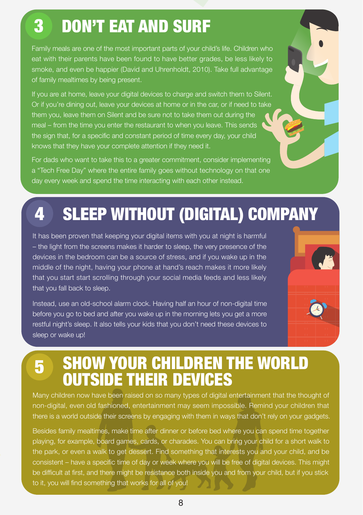#### 3 DON'T EAT AND SURF

Family meals are one of the most important parts of your child's life. Children who eat with their parents have been found to have better grades, be less likely to smoke, and even be happier (David and Uhrenholdt, 2010). Take full advantage of family mealtimes by being present.

If you are at home, leave your digital devices to charge and switch them to Silent. Or if you're dining out, leave your devices at home or in the car, or if need to take them you, leave them on Silent and be sure not to take them out during the meal – from the time you enter the restaurant to when you leave. This sends the sign that, for a specific and constant period of time every day, your child knows that they have your complete attention if they need it.

For dads who want to take this to a greater commitment, consider implementing a "Tech Free Day" where the entire family goes without technology on that one day every week and spend the time interacting with each other instead.

### 4 SLEEP WITHOUT (DIGITAL) COMPANY

It has been proven that keeping your digital items with you at night is harmful – the light from the screens makes it harder to sleep, the very presence of the devices in the bedroom can be a source of stress, and if you wake up in the middle of the night, having your phone at hand's reach makes it more likely that you start start scrolling through your social media feeds and less likely that you fall back to sleep.

Instead, use an old-school alarm clock. Having half an hour of non-digital time before you go to bed and after you wake up in the morning lets you get a more restful night's sleep. It also tells your kids that you don't need these devices to sleep or wake up!



#### **5 SHOW YOUR CHILDREN THE WORLD** OUTSIDE THEIR DEVICES

Many children now have been raised on so many types of digital entertainment that the thought of non-digital, even old fashioned, entertainment may seem impossible. Remind your children that there is a world outside their screens by engaging with them in ways that don't rely on your gadgets.

Besides family mealtimes, make time after dinner or before bed where you can spend time together playing, for example, board games, cards, or charades. You can bring your child for a short walk to the park, or even a walk to get dessert. Find something that interests you and your child, and be consistent – have a specific time of day or week where you will be free of digital devices. This might be difficult at first, and there might be resistance both inside you and from your child, but if you stick to it, you will find something that works for all of you!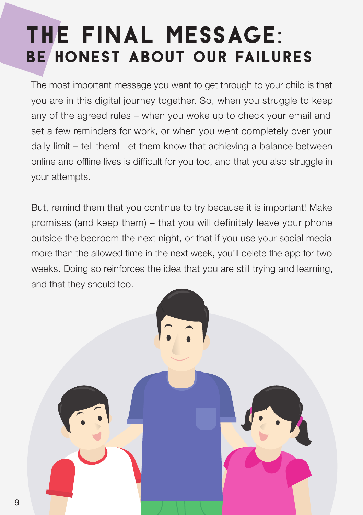# THE FINAL MESSAGE: BE HONEST ABOUT OUR FAILURES

The most important message you want to get through to your child is that you are in this digital journey together. So, when you struggle to keep any of the agreed rules – when you woke up to check your email and set a few reminders for work, or when you went completely over your daily limit – tell them! Let them know that achieving a balance between online and offline lives is difficult for you too, and that you also struggle in your attempts.

But, remind them that you continue to try because it is important! Make promises (and keep them) – that you will definitely leave your phone outside the bedroom the next night, or that if you use your social media more than the allowed time in the next week, you'll delete the app for two weeks. Doing so reinforces the idea that you are still trying and learning, and that they should too.

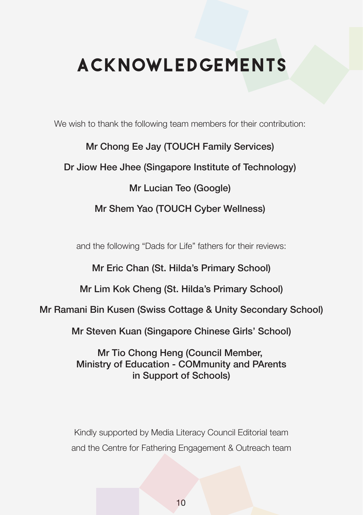## ACKNOWLEDGEMENTS

We wish to thank the following team members for their contribution:

Mr Chong Ee Jay (TOUCH Family Services)

#### Dr Jiow Hee Jhee (Singapore Institute of Technology)

#### Mr Lucian Teo (Google)

#### Mr Shem Yao (TOUCH Cyber Wellness)

and the following "Dads for Life" fathers for their reviews:

Mr Eric Chan (St. Hilda's Primary School)

Mr Lim Kok Cheng (St. Hilda's Primary School)

Mr Ramani Bin Kusen (Swiss Cottage & Unity Secondary School)

Mr Steven Kuan (Singapore Chinese Girls' School)

Mr Tio Chong Heng (Council Member, Ministry of Education - COMmunity and PArents in Support of Schools)

Kindly supported by Media Literacy Council Editorial team and the Centre for Fathering Engagement & Outreach team